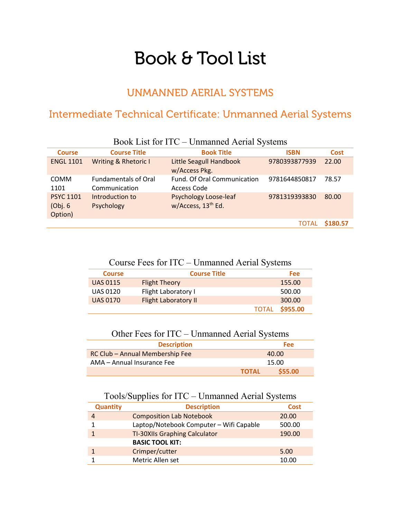## Book & Tool List

## UNMANNED AERIAL SYSTEMS

## Intermediate Technical Certificate: Unmanned Aerial Systems

| <b>Course</b>                           | <b>Course Title</b>                          | <b>Book Title</b>                                              | <b>ISBN</b>   | <b>Cost</b> |
|-----------------------------------------|----------------------------------------------|----------------------------------------------------------------|---------------|-------------|
| <b>ENGL 1101</b>                        | <b>Writing &amp; Rhetoric I</b>              | Little Seagull Handbook<br>w/Access Pkg.                       | 9780393877939 | 22.00       |
| <b>COMM</b><br>1101                     | <b>Fundamentals of Oral</b><br>Communication | Fund. Of Oral Communication<br>Access Code                     | 9781644850817 | 78.57       |
| <b>PSYC 1101</b><br>(Obj. 6)<br>Option) | Introduction to<br>Psychology                | <b>Psychology Loose-leaf</b><br>w/Access, 13 <sup>th</sup> Ed. | 9781319393830 | 80.00       |
|                                         |                                              |                                                                | TOTAL         | \$180.57    |

Book List for ITC – Unmanned Aerial Systems

| <b>Course</b>   | <b>Course Title</b>         |              | <b>Fee</b> |
|-----------------|-----------------------------|--------------|------------|
| <b>UAS 0115</b> | <b>Flight Theory</b>        |              | 155.00     |
| <b>UAS 0120</b> | Flight Laboratory I         |              | 500.00     |
| <b>UAS 0170</b> | <b>Flight Laboratory II</b> |              | 300.00     |
|                 |                             | <b>TOTAL</b> | \$955.00   |

Other Fees for ITC – Unmanned Aerial Systems

| <b>Description</b>              |              | Fee:    |
|---------------------------------|--------------|---------|
| RC Club - Annual Membership Fee |              | 40.00   |
| AMA - Annual Insurance Fee      |              | 15.00   |
|                                 | <b>TOTAL</b> | \$55.00 |

## Tools/Supplies for ITC – Unmanned Aerial Systems

| <b>Quantity</b> | <b>Description</b>                      | <b>Cost</b> |
|-----------------|-----------------------------------------|-------------|
|                 | <b>Composition Lab Notebook</b>         | 20.00       |
|                 | Laptop/Notebook Computer - Wifi Capable | 500.00      |
|                 | <b>TI-30XIIs Graphing Calculator</b>    | 190.00      |
|                 | <b>BASIC TOOL KIT:</b>                  |             |
|                 | Crimper/cutter                          | 5.00        |
|                 | Metric Allen set                        | 10.00       |